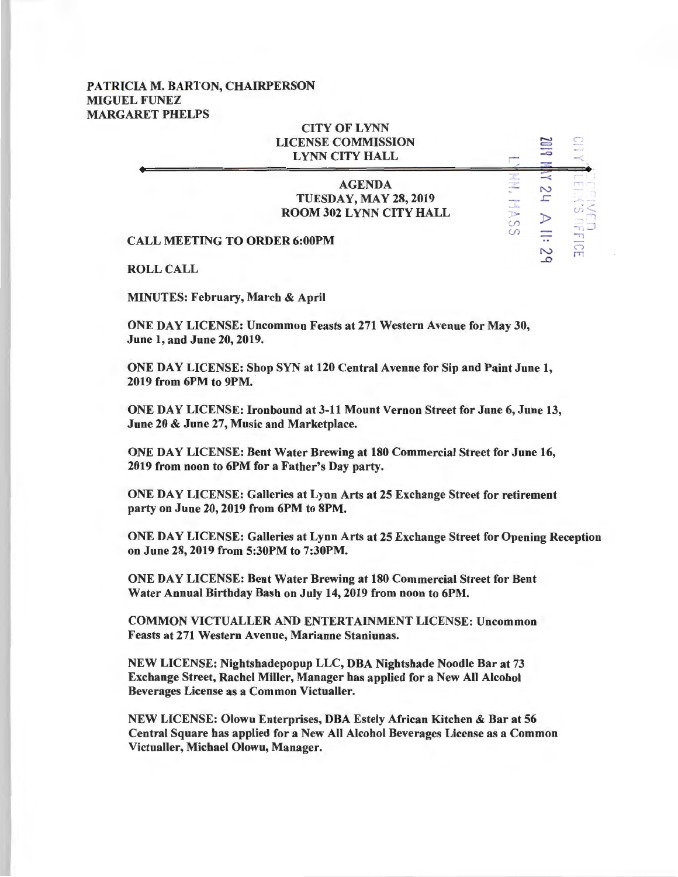## PATRICIA M. BARTON, CHAIRPERSON MIGUEL FUNEZ MARGARET PHELPS

|                                     | <b>CITY OF LYNN</b><br><b>LICENSE COMMISSION</b><br><b>LYNN CITY HALL</b>       |          | IJ     |   |
|-------------------------------------|---------------------------------------------------------------------------------|----------|--------|---|
|                                     | <b>AGENDA</b><br><b>TUESDAY, MAY 28, 2019</b><br><b>ROOM 302 LYNN CITY HALL</b> | Mode and | N      |   |
| <b>CALL MEETING TO ORDER 6:00PM</b> |                                                                                 | $\omega$ | $\sim$ | m |
| <b>ROLL CALL</b>                    |                                                                                 |          |        |   |

MINUTES: February, March & April

ONE DAY LICENSE: Uncommon Feasts at 271 Western Avenue for May 30, June 1, and June 20, 2019.

ONE DAY LICENSE: Shop SYN at 120 Central Avenue for Sip and Paint June 1, 2019 from 6PM to 9PM.

ONE DAY LICENSE: Ironbound at 3-11 Mount Vernon Street for June 6, June 13, June 20 & June 27, Music and Marketplace.

ONE DAY LICENSE: Bent Water Brewing at 180 Commercial Street for June 16, 2019 from noon to 6PM for a Father's Day party.

ONE DAY LICENSE: Galleries at Lynn Arts at 25 Exchange Street for retirement party on June 20, 2019 from 6PM to 8PM.

ONE DAY LICENSE: Galleries at Lynn Arts at 25 Exchange Street for Opening Reception on June 28, 2019 from 5:30PM to 7:30PM.

ONE DAY LICENSE: Bent Water Brewing at 180 Commercial Street for Bent Water Annual Birthday Bash on July 14, 2019 from noon to 6PM.

COMMON VICTUALLER AND ENTERTAINMENT LICENSE: Uncommon Feasts at 271 Western Avenue, Marianne Staniunas.

NEW LICENSE: Nightshadepopup LLC, DBA Nightshade Noodle Bar at 73 Exchange Street, Rachel Miller, Manager has applied for a New All Alcohol Beverages License as a Common Victualler.

NEW LICENSE: Olowu Enterprises, DBA Estely African Kitchen & Bar at 56 Central Square has applied for a New All Alcohol Beverages License as a Common Victualler, Michael Olowu, Manager.